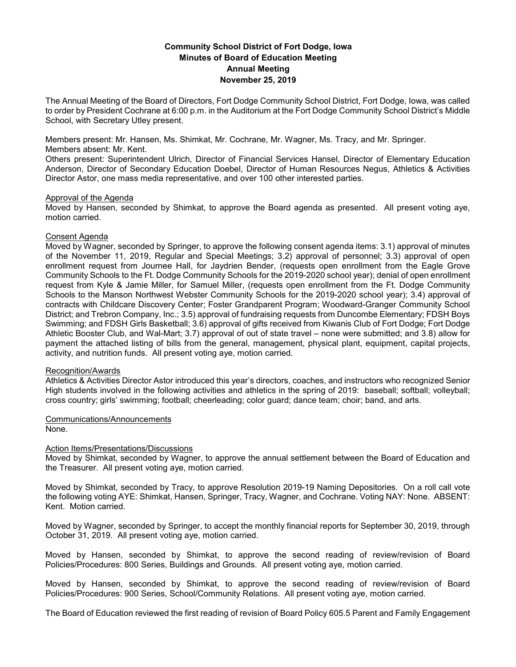# **Community School District of Fort Dodge, Iowa Minutes of Board of Education Meeting Annual Meeting November 25, 2019**

The Annual Meeting of the Board of Directors, Fort Dodge Community School District, Fort Dodge, Iowa, was called to order by President Cochrane at 6:00 p.m. in the Auditorium at the Fort Dodge Community School District's Middle School, with Secretary Utley present.

Members present: Mr. Hansen, Ms. Shimkat, Mr. Cochrane, Mr. Wagner, Ms. Tracy, and Mr. Springer. Members absent: Mr. Kent.

Others present: Superintendent Ulrich, Director of Financial Services Hansel, Director of Elementary Education Anderson, Director of Secondary Education Doebel, Director of Human Resources Negus, Athletics & Activities Director Astor, one mass media representative, and over 100 other interested parties.

### Approval of the Agenda

Moved by Hansen, seconded by Shimkat, to approve the Board agenda as presented. All present voting aye, motion carried.

## Consent Agenda

Moved by Wagner, seconded by Springer, to approve the following consent agenda items: 3.1) approval of minutes of the November 11, 2019, Regular and Special Meetings; 3.2) approval of personnel; 3.3) approval of open enrollment request from Journee Hall, for Jaydrien Bender, (requests open enrollment from the Eagle Grove Community Schools to the Ft. Dodge Community Schools for the 2019-2020 school year); denial of open enrollment request from Kyle & Jamie Miller, for Samuel Miller, (requests open enrollment from the Ft. Dodge Community Schools to the Manson Northwest Webster Community Schools for the 2019-2020 school year); 3.4) approval of contracts with Childcare Discovery Center; Foster Grandparent Program; Woodward-Granger Community School District; and Trebron Company, Inc.; 3.5) approval of fundraising requests from Duncombe Elementary; FDSH Boys Swimming; and FDSH Girls Basketball; 3.6) approval of gifts received from Kiwanis Club of Fort Dodge; Fort Dodge Athletic Booster Club, and Wal-Mart; 3.7) approval of out of state travel – none were submitted; and 3.8) allow for payment the attached listing of bills from the general, management, physical plant, equipment, capital projects, activity, and nutrition funds. All present voting aye, motion carried.

#### Recognition/Awards

Athletics & Activities Director Astor introduced this year's directors, coaches, and instructors who recognized Senior High students involved in the following activities and athletics in the spring of 2019: baseball; softball; volleyball; cross country; girls' swimming; football; cheerleading; color guard; dance team; choir; band, and arts.

## Communications/Announcements

None.

#### Action Items/Presentations/Discussions

Moved by Shimkat, seconded by Wagner, to approve the annual settlement between the Board of Education and the Treasurer. All present voting aye, motion carried.

Moved by Shimkat, seconded by Tracy, to approve Resolution 2019-19 Naming Depositories. On a roll call vote the following voting AYE: Shimkat, Hansen, Springer, Tracy, Wagner, and Cochrane. Voting NAY: None. ABSENT: Kent. Motion carried.

Moved by Wagner, seconded by Springer, to accept the monthly financial reports for September 30, 2019, through October 31, 2019. All present voting aye, motion carried.

Moved by Hansen, seconded by Shimkat, to approve the second reading of review/revision of Board Policies/Procedures: 800 Series, Buildings and Grounds. All present voting aye, motion carried.

Moved by Hansen, seconded by Shimkat, to approve the second reading of review/revision of Board Policies/Procedures: 900 Series, School/Community Relations. All present voting aye, motion carried.

The Board of Education reviewed the first reading of revision of Board Policy 605.5 Parent and Family Engagement